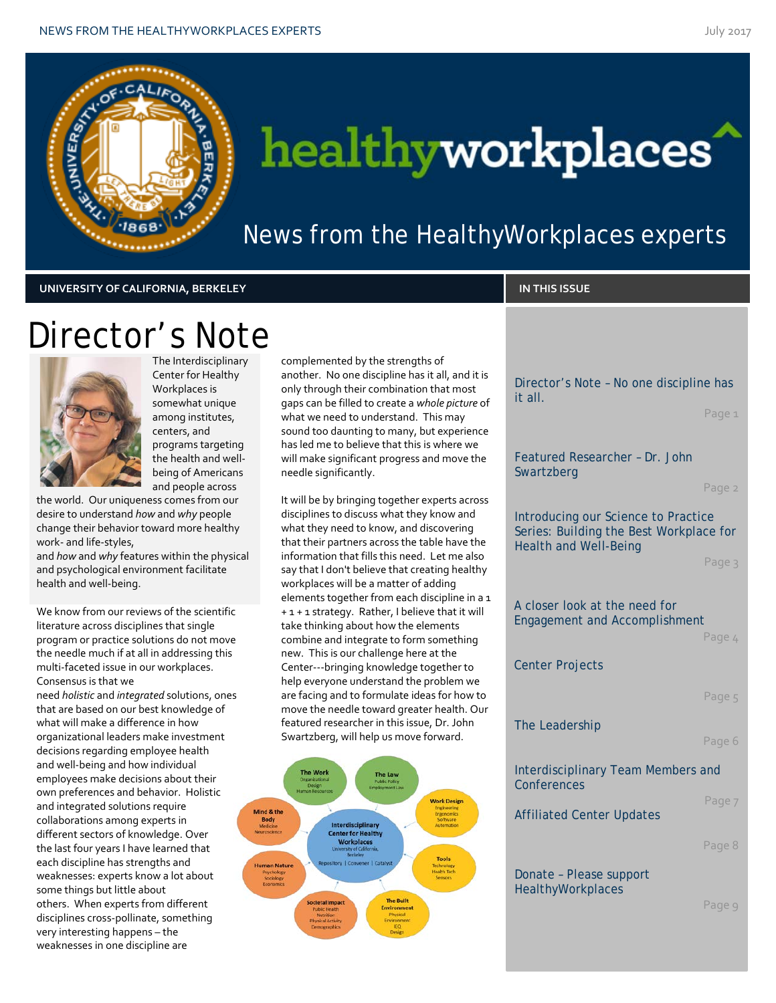

# healthyworkplaces

News from the HealthyWorkplaces experts

### **UNIVERSITY OF CALIFORNIA, BERKELEY IN THIS ISSUE**

Director's Note



The Interdisciplinary Center for Healthy Workplaces is somewhat unique among institutes, centers, and programs targeting the health and wellbeing of Americans and people across

the world. Our uniqueness comes from our desire to understand *how* and *why* people change their behavior toward more healthy work- and life-styles,

and *how* and *why* features within the physical and psychological environment facilitate health and well-being.

We know from our reviews of the scientific literature across disciplines that single program or practice solutions do not move the needle much if at all in addressing this multi-faceted issue in our workplaces. Consensus is that we

need *holistic* and *integrated* solutions, ones that are based on our best knowledge of what will make a difference in how organizational leaders make investment decisions regarding employee health and well-being and how individual employees make decisions about their own preferences and behavior. Holistic and integrated solutions require collaborations among experts in different sectors of knowledge. Over the last four years I have learned that each discipline has strengths and weaknesses: experts know a lot about some things but little about others. When experts from different disciplines cross-pollinate, something very interesting happens – the weaknesses in one discipline are

complemented by the strengths of another. No one discipline has it all, and it is only through their combination that most gaps can be filled to create a *whole picture* of what we need to understand. This may sound too daunting to many, but experience has led me to believe that this is where we will make significant progress and move the needle significantly.

It will be by bringing together experts across disciplines to discuss what they know and what they need to know, and discovering that their partners across the table have the information that fills this need. Let me also say that I don't believe that creating healthy workplaces will be a matter of adding elements together from each discipline in a 1 + 1 + 1 strategy. Rather, I believe that it will take thinking about how the elements combine and integrate to form something new. This is our challenge here at the Center---bringing knowledge together to help everyone understand the problem we are facing and to formulate ideas for how to move the needle toward greater health. Our featured researcher in this issue, Dr. John Swartzberg, will help us move forward.



Director's Note – No one discipline has it all. Page 1 Featured Researcher – Dr. John Swartzberg Page 2 Introducing our Science to Practice Series: Building the Best Workplace for Health and Well-Being Page 3 A closer look at the need for Engagement and Accomplishment Page 4 Center Projects Page 5 The Leadership Page 6 Interdisciplinary Team Members and **Conferences** Page 7 Affiliated Center Updates

Page 8

Donate – Please support **HealthyWorkplaces** 

Page 9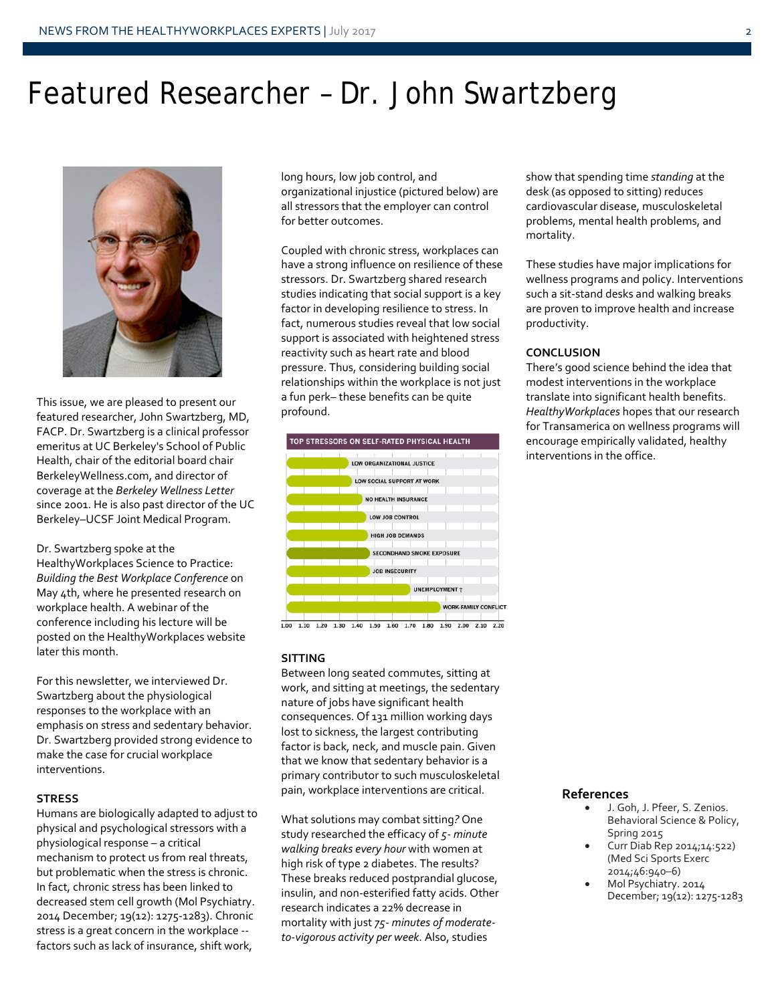### Featured Researcher – Dr. John Swartzberg



This issue, we are pleased to present our featured researcher, John Swartzberg, MD, FACP. Dr. Swartzberg is a clinical professor emeritus at UC Berkeley's School of Public Health, chair of the editorial board chair BerkeleyWellness.com, and director of coverage at the *Berkeley Wellness Letter*  since 2001. He is also past director of the UC Berkeley–UCSF Joint Medical Program.

Dr. Swartzberg spoke at the HealthyWorkplaces Science to Practice: *Building the Best Workplace Conference* on May 4th, where he presented research on workplace health. A webinar of the conference including his lecture will be posted on the HealthyWorkplaces website later this month.

For this newsletter, we interviewed Dr. Swartzberg about the physiological responses to the workplace with an emphasis on stress and sedentary behavior. Dr. Swartzberg provided strong evidence to make the case for crucial workplace interventions.

#### **STRESS**

Humans are biologically adapted to adjust to physical and psychological stressors with a physiological response – a critical mechanism to protect us from real threats, but problematic when the stress is chronic. In fact, chronic stress has been linked to decreased stem cell growth (Mol Psychiatry. 2014 December; 19(12): 1275-1283). Chronic stress is a great concern in the workplace - factors such as lack of insurance, shift work,

long hours, low job control, and organizational injustice (pictured below) are all stressors that the employer can control for better outcomes.

Coupled with chronic stress, workplaces can have a strong influence on resilience of these stressors. Dr. Swartzberg shared research studies indicating that social support is a key factor in developing resilience to stress. In fact, numerous studies reveal that low social support is associated with heightened stress reactivity such as heart rate and blood pressure. Thus, considering building social relationships within the workplace is not just a fun perk– these benefits can be quite profound.



 $1.00$   $1.10$   $1.20$   $1.30$   $1.40$   $1.50$   $1.60$   $1.70$   $1.80$   $1.90$   $2.00$   $2.10$   $2.20$ 

#### **SITTING**

Between long seated commutes, sitting at work, and sitting at meetings, the sedentary nature of jobs have significant health consequences. Of 131 million working days lost to sickness, the largest contributing factor is back, neck, and muscle pain. Given that we know that sedentary behavior is a primary contributor to such musculoskeletal pain, workplace interventions are critical.

What solutions may combat sitting*?* One study researched the efficacy of *5- minute walking breaks every hour* with women at high risk of type 2 diabetes. The results? These breaks reduced postprandial glucose, insulin, and non-esterified fatty acids. Other research indicates a 22% decrease in mortality with just *75- minutes of moderateto-vigorous activity per week*. Also, studies

show that spending time *standing* at the desk (as opposed to sitting) reduces cardiovascular disease, musculoskeletal problems, mental health problems, and mortality.

These studies have major implications for wellness programs and policy. Interventions such a sit-stand desks and walking breaks are proven to improve health and increase productivity.

#### **CONCLUSION**

There's good science behind the idea that modest interventions in the workplace translate into significant health benefits. *HealthyWorkplaces* hopes that our research for Transamerica on wellness programs will encourage empirically validated, healthy interventions in the office.

#### **References**

- J. Goh, J. Pfeer, S. Zenios. Behavioral Science & Policy, Spring 2015
- Curr Diab Rep 2014;14:522) (Med Sci Sports Exerc 2014;46:940–6)
- Mol Psychiatry. 2014 December; 19(12): 1275-1283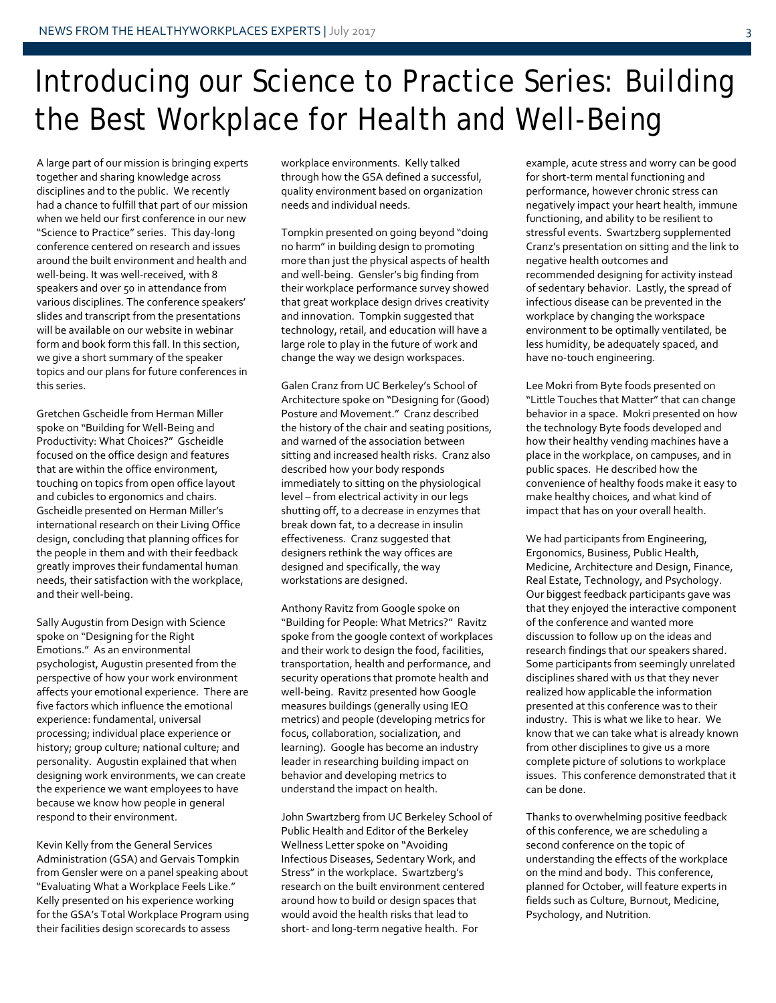### Introducing our Science to Practice Series: Building the Best Workplace for Health and Well-Being

A large part of our mission is bringing experts together and sharing knowledge across disciplines and to the public. We recently had a chance to fulfill that part of our mission when we held our first conference in our new "Science to Practice" series. This day-long conference centered on research and issues around the built environment and health and well-being. It was well-received, with 8 speakers and over 50 in attendance from various disciplines. The conference speakers' slides and transcript from the presentations will be available on our website in webinar form and book form this fall. In this section, we give a short summary of the speaker topics and our plans for future conferences in this series.

Gretchen Gscheidle from Herman Miller spoke on "Building for Well-Being and Productivity: What Choices?" Gscheidle focused on the office design and features that are within the office environment, touching on topics from open office layout and cubicles to ergonomics and chairs. Gscheidle presented on Herman Miller's international research on their Living Office design, concluding that planning offices for the people in them and with their feedback greatly improves their fundamental human needs, their satisfaction with the workplace, and their well-being.

Sally Augustin from Design with Science spoke on "Designing for the Right Emotions." As an environmental psychologist, Augustin presented from the perspective of how your work environment affects your emotional experience. There are five factors which influence the emotional experience: fundamental, universal processing; individual place experience or history; group culture; national culture; and personality. Augustin explained that when designing work environments, we can create the experience we want employees to have because we know how people in general respond to their environment.

Kevin Kelly from the General Services Administration (GSA) and Gervais Tompkin from Gensler were on a panel speaking about "Evaluating What a Workplace Feels Like." Kelly presented on his experience working for the GSA's Total Workplace Program using their facilities design scorecards to assess

workplace environments. Kelly talked through how the GSA defined a successful, quality environment based on organization needs and individual needs.

Tompkin presented on going beyond "doing no harm" in building design to promoting more than just the physical aspects of health and well-being. Gensler's big finding from their workplace performance survey showed that great workplace design drives creativity and innovation. Tompkin suggested that technology, retail, and education will have a large role to play in the future of work and change the way we design workspaces.

Galen Cranz from UC Berkeley's School of Architecture spoke on "Designing for (Good) Posture and Movement." Cranz described the history of the chair and seating positions, and warned of the association between sitting and increased health risks. Cranz also described how your body responds immediately to sitting on the physiological level – from electrical activity in our legs shutting off, to a decrease in enzymes that break down fat, to a decrease in insulin effectiveness. Cranz suggested that designers rethink the way offices are designed and specifically, the way workstations are designed.

Anthony Ravitz from Google spoke on "Building for People: What Metrics?" Ravitz spoke from the google context of workplaces and their work to design the food, facilities, transportation, health and performance, and security operations that promote health and well-being. Ravitz presented how Google measures buildings (generally using IEQ metrics) and people (developing metrics for focus, collaboration, socialization, and learning). Google has become an industry leader in researching building impact on behavior and developing metrics to understand the impact on health.

John Swartzberg from UC Berkeley School of Public Health and Editor of the Berkeley Wellness Letter spoke on "Avoiding Infectious Diseases, Sedentary Work, and Stress" in the workplace. Swartzberg's research on the built environment centered around how to build or design spaces that would avoid the health risks that lead to short- and long-term negative health. For

example, acute stress and worry can be good for short-term mental functioning and performance, however chronic stress can negatively impact your heart health, immune functioning, and ability to be resilient to stressful events. Swartzberg supplemented Cranz's presentation on sitting and the link to negative health outcomes and recommended designing for activity instead of sedentary behavior. Lastly, the spread of infectious disease can be prevented in the workplace by changing the workspace environment to be optimally ventilated, be less humidity, be adequately spaced, and have no-touch engineering.

Lee Mokri from Byte foods presented on "Little Touches that Matter" that can change behavior in a space. Mokri presented on how the technology Byte foods developed and how their healthy vending machines have a place in the workplace, on campuses, and in public spaces. He described how the convenience of healthy foods make it easy to make healthy choices, and what kind of impact that has on your overall health.

We had participants from Engineering, Ergonomics, Business, Public Health, Medicine, Architecture and Design, Finance, Real Estate, Technology, and Psychology. Our biggest feedback participants gave was that they enjoyed the interactive component of the conference and wanted more discussion to follow up on the ideas and research findings that our speakers shared. Some participants from seemingly unrelated disciplines shared with us that they never realized how applicable the information presented at this conference was to their industry. This is what we like to hear. We know that we can take what is already known from other disciplines to give us a more complete picture of solutions to workplace issues. This conference demonstrated that it can be done.

Thanks to overwhelming positive feedback of this conference, we are scheduling a second conference on the topic of understanding the effects of the workplace on the mind and body. This conference, planned for October, will feature experts in fields such as Culture, Burnout, Medicine, Psychology, and Nutrition.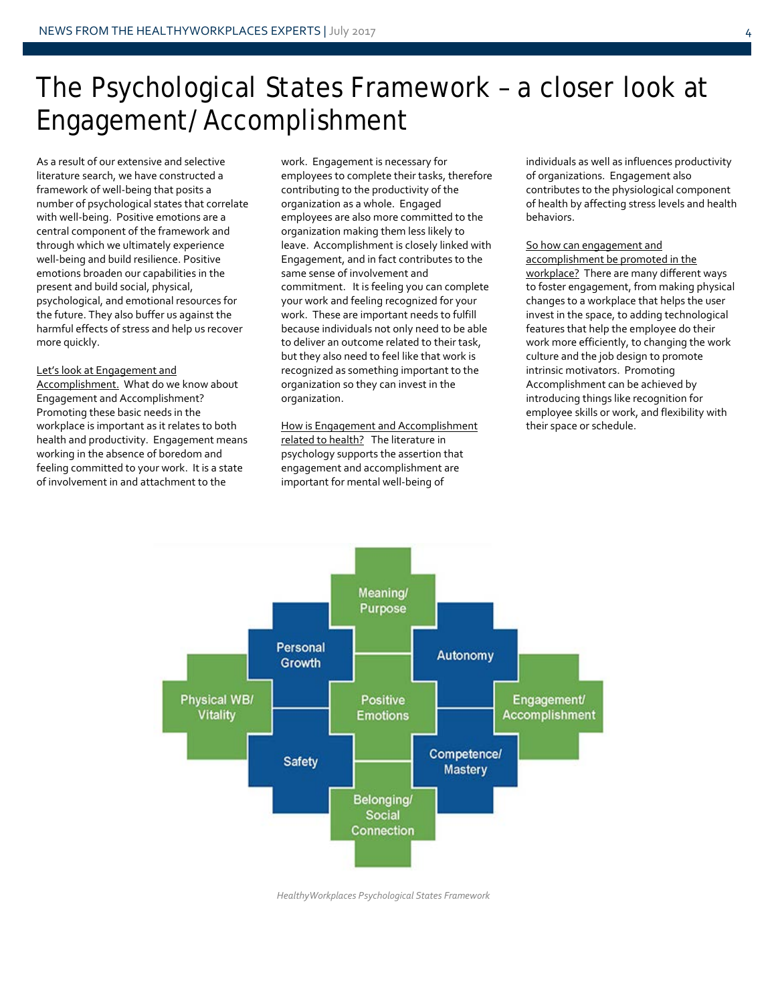### The Psychological States Framework – a closer look at Engagement/Accomplishment

As a result of our extensive and selective literature search, we have constructed a framework of well-being that posits a number of psychological states that correlate with well-being. Positive emotions are a central component of the framework and through which we ultimately experience well-being and build resilience. Positive emotions broaden our capabilities in the present and build social, physical, psychological, and emotional resources for the future. They also buffer us against the harmful effects of stress and help us recover more quickly.

#### Let's look at Engagement and

Accomplishment. What do we know about Engagement and Accomplishment? Promoting these basic needs in the workplace is important as it relates to both health and productivity. Engagement means working in the absence of boredom and feeling committed to your work. It is a state of involvement in and attachment to the

work. Engagement is necessary for employees to complete their tasks, therefore contributing to the productivity of the organization as a whole. Engaged employees are also more committed to the organization making them less likely to leave. Accomplishment is closely linked with Engagement, and in fact contributes to the same sense of involvement and commitment. It is feeling you can complete your work and feeling recognized for your work. These are important needs to fulfill because individuals not only need to be able to deliver an outcome related to their task, but they also need to feel like that work is recognized as something important to the organization so they can invest in the organization.

How is Engagement and Accomplishment related to health? The literature in psychology supports the assertion that engagement and accomplishment are important for mental well-being of

individuals as well as influences productivity of organizations. Engagement also contributes to the physiological component of health by affecting stress levels and health behaviors.

#### So how can engagement and

accomplishment be promoted in the workplace? There are many different ways to foster engagement, from making physical changes to a workplace that helps the user invest in the space, to adding technological features that help the employee do their work more efficiently, to changing the work culture and the job design to promote intrinsic motivators. Promoting Accomplishment can be achieved by introducing things like recognition for employee skills or work, and flexibility with their space or schedule.



*HealthyWorkplaces Psychological States Framework*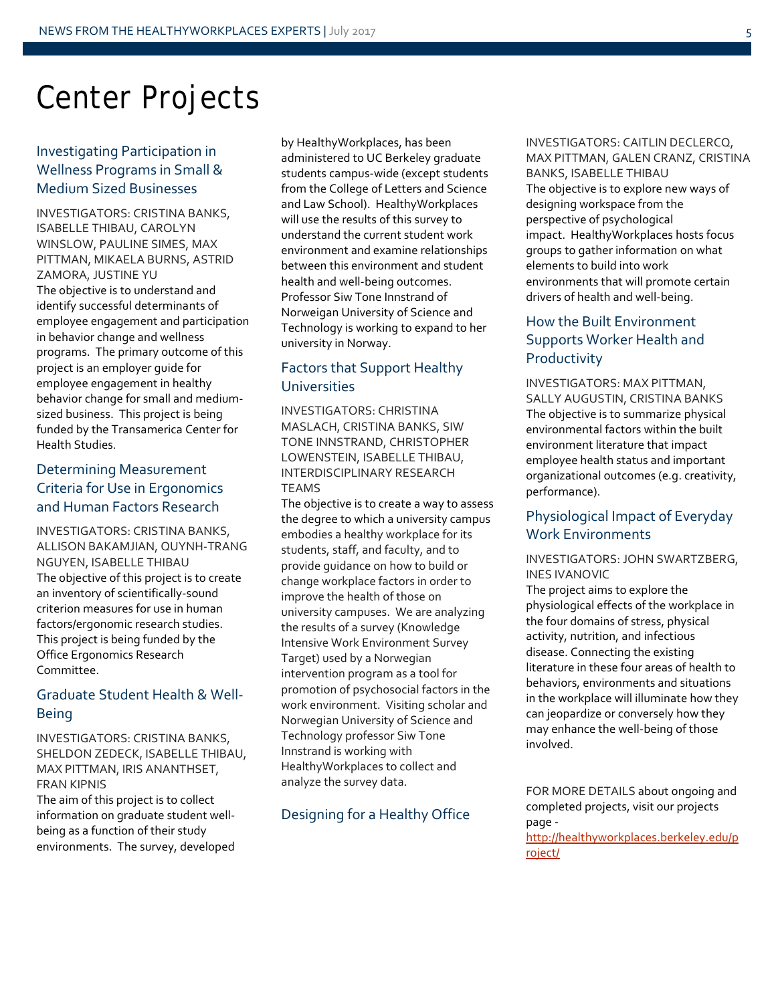### Center Projects

### Investigating Participation in Wellness Programs in Small & Medium Sized Businesses

INVESTIGATORS: CRISTINA BANKS, ISABELLE THIBAU, CAROLYN WINSLOW, PAULINE SIMES, MAX PITTMAN, MIKAELA BURNS, ASTRID ZAMORA, JUSTINE YU The objective is to understand and identify successful determinants of employee engagement and participation in behavior change and wellness programs. The primary outcome of this project is an employer guide for employee engagement in healthy behavior change for small and mediumsized business. This project is being funded by the Transamerica Center for Health Studies.

### Determining Measurement Criteria for Use in Ergonomics and Human Factors Research

INVESTIGATORS: CRISTINA BANKS, ALLISON BAKAMJIAN, QUYNH-TRANG NGUYEN, ISABELLE THIBAU The objective of this project is to create an inventory of scientifically-sound criterion measures for use in human factors/ergonomic research studies. This project is being funded by the Office Ergonomics Research Committee.

### Graduate Student Health & Well-Being

INVESTIGATORS: CRISTINA BANKS, SHELDON ZEDECK, ISABELLE THIBAU, MAX PITTMAN, IRIS ANANTHSET, FRAN KIPNIS

The aim of this project is to collect information on graduate student wellbeing as a function of their study environments. The survey, developed

by HealthyWorkplaces, has been administered to UC Berkeley graduate students campus-wide (except students from the College of Letters and Science and Law School). HealthyWorkplaces will use the results of this survey to understand the current student work environment and examine relationships between this environment and student health and well-being outcomes. Professor Siw Tone Innstrand of Norweigan University of Science and Technology is working to expand to her university in Norway.

### Factors that Support Healthy Universities

INVESTIGATORS: CHRISTINA MASLACH, CRISTINA BANKS, SIW TONE INNSTRAND, CHRISTOPHER LOWENSTEIN, ISABELLE THIBAU, INTERDISCIPLINARY RESEARCH TEAMS

The objective is to create a way to assess the degree to which a university campus embodies a healthy workplace for its students, staff, and faculty, and to provide guidance on how to build or change workplace factors in order to improve the health of those on university campuses. We are analyzing the results of a survey (Knowledge Intensive Work Environment Survey Target) used by a Norwegian intervention program as a tool for promotion of psychosocial factors in the work environment. Visiting scholar and Norwegian University of Science and Technology professor Siw Tone Innstrand is working with HealthyWorkplaces to collect and analyze the survey data.

### Designing for a Healthy Office

### INVESTIGATORS: CAITLIN DECLERCQ, MAX PITTMAN, GALEN CRANZ, CRISTINA BANKS, ISABELLE THIBAU The objective is to explore new ways of designing workspace from the perspective of psychological impact. HealthyWorkplaces hosts focus groups to gather information on what elements to build into work environments that will promote certain drivers of health and well-being.

### How the Built Environment Supports Worker Health and Productivity

INVESTIGATORS: MAX PITTMAN, SALLY AUGUSTIN, CRISTINA BANKS The objective is to summarize physical environmental factors within the built environment literature that impact employee health status and important organizational outcomes (e.g. creativity, performance).

### Physiological Impact of Everyday Work Environments

### INVESTIGATORS: JOHN SWARTZBERG, INES IVANOVIC

The project aims to explore the physiological effects of the workplace in the four domains of stress, physical activity, nutrition, and infectious disease. Connecting the existing literature in these four areas of health to behaviors, environments and situations in the workplace will illuminate how they can jeopardize or conversely how they may enhance the well-being of those involved.

FOR MORE DETAILS about ongoing and completed projects, visit our projects page -

[http://healthyworkplaces.berkeley.edu/p](http://healthyworkplaces.berkeley.edu/project/) [roject/](http://healthyworkplaces.berkeley.edu/project/)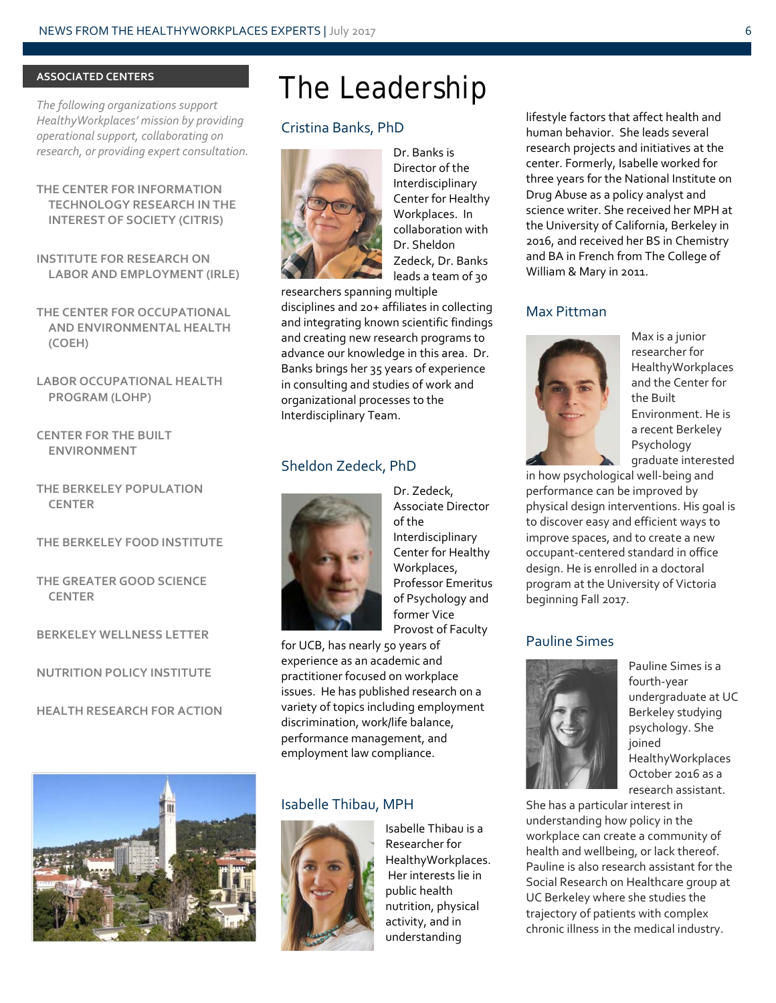### **ASSOCIATED CENTERS**

*The following organizations support HealthyWorkplaces' mission by providing operational support, collaborating on research, or providing expert consultation.*

### **THE CENTER FOR INFORMATION TECHNOLOGY RESEARCH IN THE INTEREST OF SOCIETY (CITRIS)**

**INSTITUTE FOR RESEARCH ON LABOR AND EMPLOYMENT (IRLE)**

**THE CENTER FOR OCCUPATIONAL AND ENVIRONMENTAL HEALTH (COEH)**

**LABOR OCCUPATIONAL HEALTH PROGRAM (LOHP)**

**CENTER FOR THE BUILT ENVIRONMENT** 

**THE BERKELEY POPULATION CENTER**

### **THE BERKELEY FOOD INSTITUTE**

**THE GREATER GOOD SCIENCE CENTER**

**BERKELEY WELLNESS LETTER**

```
NUTRITION POLICY INSTITUTE
```
**HEALTH RESEARCH FOR ACTION**



### The Leadership

### Cristina Banks, PhD



Dr. Banks is Director of the Interdisciplinary Center for Healthy Workplaces. In collaboration with Dr. Sheldon Zedeck, Dr. Banks leads a team of 30

researchers spanning multiple disciplines and 20+ affiliates in collecting and integrating known scientific findings and creating new research programs to advance our knowledge in this area. Dr. Banks brings her 35 years of experience in consulting and studies of work and organizational processes to the Interdisciplinary Team.

### Sheldon Zedeck, PhD



Dr. Zedeck, Associate Director of the Interdisciplinary Center for Healthy Workplaces, Professor Emeritus of Psychology and former Vice Provost of Faculty

for UCB, has nearly 50 years of experience as an academic and practitioner focused on workplace issues. He has published research on a variety of topics including employment discrimination, work/life balance, performance management, and employment law compliance.

### Isabelle Thibau, MPH



Isabelle Thibau is a Researcher for HealthyWorkplaces. Her interests lie in public health nutrition, physical activity, and in understanding

lifestyle factors that affect health and human behavior. She leads several research projects and initiatives at the center. Formerly, Isabelle worked for three years for the National Institute on Drug Abuse as a policy analyst and science writer. She received her MPH at the University of California, Berkeley in 2016, and received her BS in Chemistry and BA in French from The College of William & Mary in 2011.

#### Max Pittman



Max is a junior researcher for **HealthyWorkplaces** and the Center for the Built Environment. He is a recent Berkeley Psychology graduate interested

in how psychological well-being and performance can be improved by physical design interventions. His goal is to discover easy and efficient ways to improve spaces, and to create a new occupant-centered standard in office design. He is enrolled in a doctoral program at the University of Victoria beginning Fall 2017.

### Pauline Simes



Pauline Simes is a fourth-year undergraduate at UC Berkeley studying psychology. She joined HealthyWorkplaces October 2016 as a research assistant.

She has a particular interest in understanding how policy in the workplace can create a community of health and wellbeing, or lack thereof. Pauline is also research assistant for the Social Research on Healthcare group at UC Berkeley where she studies the trajectory of patients with complex chronic illness in the medical industry.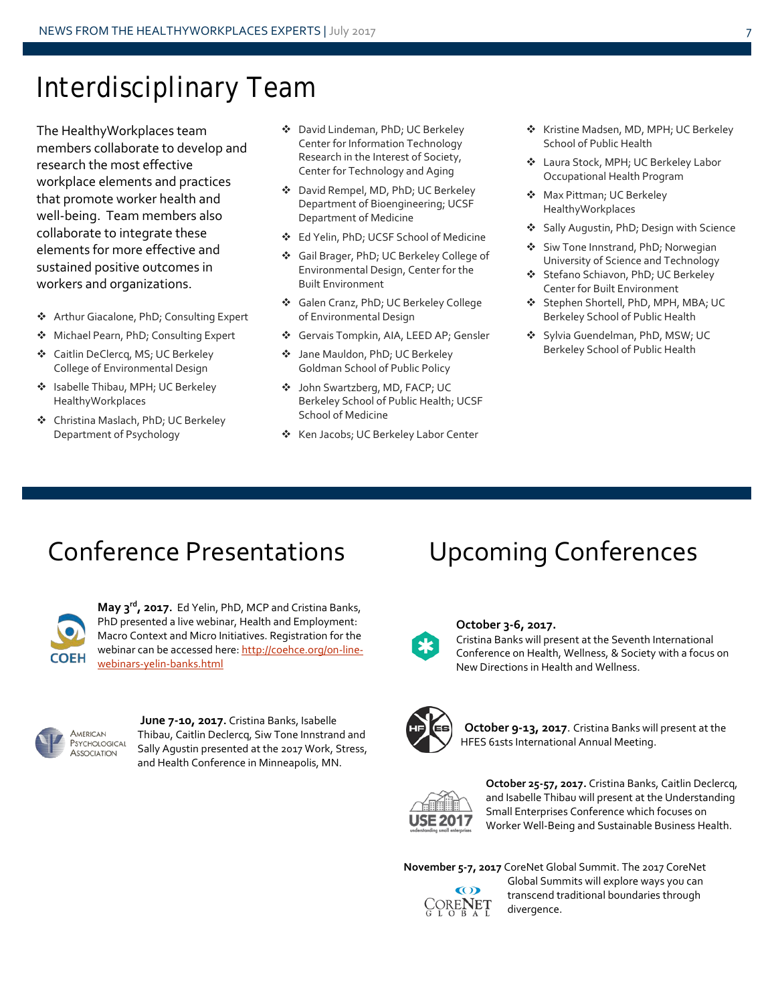### Interdisciplinary Team

The HealthyWorkplaces team members collaborate to develop and research the most effective workplace elements and practices that promote worker health and well-being. Team members also collaborate to integrate these elements for more effective and sustained positive outcomes in workers and organizations.

- Arthur Giacalone, PhD; Consulting Expert
- Michael Pearn, PhD; Consulting Expert
- Caitlin DeClercq, MS; UC Berkeley College of Environmental Design
- ❖ Isabelle Thibau, MPH; UC Berkeley HealthyWorkplaces
- Christina Maslach, PhD; UC Berkeley Department of Psychology
- David Lindeman, PhD; UC Berkeley Center for Information Technology Research in the Interest of Society, Center for Technology and Aging
- David Rempel, MD, PhD; UC Berkeley Department of Bioengineering; UCSF Department of Medicine
- Ed Yelin, PhD; UCSF School of Medicine
- Gail Brager, PhD; UC Berkeley College of Environmental Design, Center for the Built Environment
- Galen Cranz, PhD; UC Berkeley College of Environmental Design
- Gervais Tompkin, AIA, LEED AP; Gensler
- Jane Mauldon, PhD; UC Berkeley Goldman School of Public Policy
- John Swartzberg, MD, FACP; UC Berkeley School of Public Health; UCSF School of Medicine
- ❖ Ken Jacobs; UC Berkeley Labor Center
- ❖ Kristine Madsen, MD, MPH; UC Berkeley School of Public Health
- Laura Stock, MPH; UC Berkeley Labor Occupational Health Program
- ◆ Max Pittman; UC Berkeley HealthyWorkplaces
- ❖ Sally Augustin, PhD; Design with Science
- ❖ Siw Tone Innstrand, PhD; Norwegian University of Science and Technology
- Stefano Schiavon, PhD; UC Berkeley Center for Built Environment
- Stephen Shortell, PhD, MPH, MBA; UC Berkeley School of Public Health
- Sylvia Guendelman, PhD, MSW; UC Berkeley School of Public Health

### Conference Presentations Upcoming Conferences



**May 3rd, 2017.** Ed Yelin, PhD, MCP and Cristina Banks, PhD presented a live webinar, Health and Employment: Macro Context and Micro Initiatives. Registration for the webinar can be accessed here: [http://coehce.org/on-line](http://coehce.org/on-line-webinars-yelin-banks.html)[webinars-yelin-banks.html](http://coehce.org/on-line-webinars-yelin-banks.html)



**June 7-10, 2017.** Cristina Banks, Isabelle Thibau, Caitlin Declercq, Siw Tone Innstrand and Sally Agustin presented at the 2017 Work, Stress, and Health Conference in Minneapolis, MN.



#### **October 3-6, 2017.**

Cristina Banks will present at the Seventh International Conference on Health, Wellness, & Society with a focus on New Directions in Health and Wellness.



**October 9-13, 2017**. Cristina Banks will present at the HFES 61sts International Annual Meeting.



**October 25-57, 2017.** Cristina Banks, Caitlin Declercq, and Isabelle Thibau will present at the Understanding Small Enterprises Conference which focuses on Worker Well-Being and Sustainable Business Health.

**November 5-7, 2017** CoreNet Global Summit. The 2017 CoreNet



Global Summits will explore ways you can transcend traditional boundaries through divergence.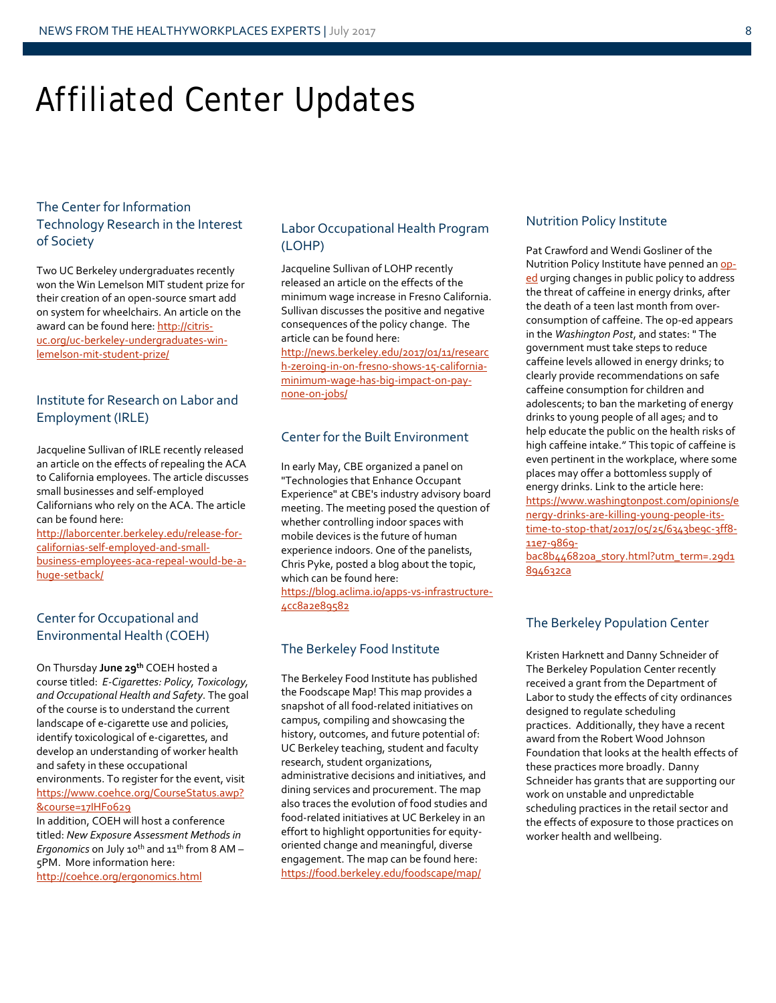## Affiliated Center Updates

### The Center for Information Technology Research in the Interest of Society

Two UC Berkeley undergraduates recently won the Win Lemelson MIT student prize for their creation of an open-source smart add on system for wheelchairs. An article on the award can be found here[: http://citris](http://citris-uc.org/uc-berkeley-undergraduates-win-lemelson-mit-student-prize/)[uc.org/uc-berkeley-undergraduates-win](http://citris-uc.org/uc-berkeley-undergraduates-win-lemelson-mit-student-prize/)[lemelson-mit-student-prize/](http://citris-uc.org/uc-berkeley-undergraduates-win-lemelson-mit-student-prize/)

### Institute for Research on Labor and Employment (IRLE)

Jacqueline Sullivan of IRLE recently released an article on the effects of repealing the ACA to California employees. The article discusses small businesses and self-employed Californians who rely on the ACA. The article can be found here:

[http://laborcenter.berkeley.edu/release-for](http://laborcenter.berkeley.edu/release-for-californias-self-employed-and-small-business-employees-aca-repeal-would-be-a-huge-setback/)[californias-self-employed-and-small](http://laborcenter.berkeley.edu/release-for-californias-self-employed-and-small-business-employees-aca-repeal-would-be-a-huge-setback/)[business-employees-aca-repeal-would-be-a](http://laborcenter.berkeley.edu/release-for-californias-self-employed-and-small-business-employees-aca-repeal-would-be-a-huge-setback/)[huge-setback/](http://laborcenter.berkeley.edu/release-for-californias-self-employed-and-small-business-employees-aca-repeal-would-be-a-huge-setback/)

### Center for Occupational and Environmental Health (COEH)

On Thursday **June 29th** COEH hosted a course titled: *E-Cigarettes: Policy, Toxicology, and Occupational Health and Safety*. The goal of the course is to understand the current landscape of e-cigarette use and policies, identify toxicological of e-cigarettes, and develop an understanding of worker health and safety in these occupational environments. To register for the event, visit [https://www.coehce.org/CourseStatus.awp?](https://www.coehce.org/CourseStatus.awp?&course=17IHF0629) [&course=17IHF0629](https://www.coehce.org/CourseStatus.awp?&course=17IHF0629) In addition, COEH will host a conference

titled: *New Exposure Assessment Methods in Ergonomics* on July 10<sup>th</sup> and 11<sup>th</sup> from 8 AM -5PM. More information here: <http://coehce.org/ergonomics.html>

Labor Occupational Health Program (LOHP)

Jacqueline Sullivan of LOHP recently released an article on the effects of the minimum wage increase in Fresno California. Sullivan discusses the positive and negative consequences of the policy change. The article can be found here:

[http://news.berkeley.edu/2017/01/11/researc](http://news.berkeley.edu/2017/01/11/research-zeroing-in-on-fresno-shows-15-california-minimum-wage-has-big-impact-on-pay-none-on-jobs/) [h-zeroing-in-on-fresno-shows-15-california](http://news.berkeley.edu/2017/01/11/research-zeroing-in-on-fresno-shows-15-california-minimum-wage-has-big-impact-on-pay-none-on-jobs/)[minimum-wage-has-big-impact-on-pay](http://news.berkeley.edu/2017/01/11/research-zeroing-in-on-fresno-shows-15-california-minimum-wage-has-big-impact-on-pay-none-on-jobs/)[none-on-jobs/](http://news.berkeley.edu/2017/01/11/research-zeroing-in-on-fresno-shows-15-california-minimum-wage-has-big-impact-on-pay-none-on-jobs/)

### Center for the Built Environment

In early May, CBE organized a panel on "Technologies that Enhance Occupant Experience" at CBE's industry advisory board meeting. The meeting posed the question of whether controlling indoor spaces with mobile devices is the future of human experience indoors. One of the panelists, Chris Pyke, posted a blog about the topic, which can be found here:

[https://blog.aclima.io/apps-vs-infrastructure-](https://blog.aclima.io/apps-vs-infrastructure-4cc8a2e89582)[4cc8a2e89582](https://blog.aclima.io/apps-vs-infrastructure-4cc8a2e89582)

### The Berkeley Food Institute

The Berkeley Food Institute has published the Foodscape Map! This map provides a snapshot of all food-related initiatives on campus, compiling and showcasing the history, outcomes, and future potential of: UC Berkeley teaching, student and faculty research, student organizations, administrative decisions and initiatives, and dining services and procurement. The map also traces the evolution of food studies and food-related initiatives at UC Berkeley in an effort to highlight opportunities for equityoriented change and meaningful, diverse engagement. The map can be found here: <https://food.berkeley.edu/foodscape/map/>

### Nutrition Policy Institute

Pat Crawford and Wendi Gosliner of the Nutrition Policy Institute have penned an [op](http://wapo.st/2r4ITQR)[ed](http://wapo.st/2r4ITQR) urging changes in public policy to address the threat of caffeine in energy drinks, after the death of a teen last month from overconsumption of caffeine. The op-ed appears in the *Washington Post*, and states: " The government must take steps to reduce caffeine levels allowed in energy drinks; to clearly provide recommendations on safe caffeine consumption for children and adolescents; to ban the marketing of energy drinks to young people of all ages; and to help educate the public on the health risks of high caffeine intake." This topic of caffeine is even pertinent in the workplace, where some places may offer a bottomless supply of energy drinks. Link to the article here: [https://www.washingtonpost.com/opinions/e](https://www.washingtonpost.com/opinions/energy-drinks-are-killing-young-people-its-time-to-stop-that/2017/05/25/6343be9c-3ff8-11e7-9869-bac8b446820a_story.html?utm_term=.29d1894632ca) [nergy-drinks-are-killing-young-people-its](https://www.washingtonpost.com/opinions/energy-drinks-are-killing-young-people-its-time-to-stop-that/2017/05/25/6343be9c-3ff8-11e7-9869-bac8b446820a_story.html?utm_term=.29d1894632ca)[time-to-stop-that/2017/05/25/6343be9c-3ff8-](https://www.washingtonpost.com/opinions/energy-drinks-are-killing-young-people-its-time-to-stop-that/2017/05/25/6343be9c-3ff8-11e7-9869-bac8b446820a_story.html?utm_term=.29d1894632ca) [11e7-9869-](https://www.washingtonpost.com/opinions/energy-drinks-are-killing-young-people-its-time-to-stop-that/2017/05/25/6343be9c-3ff8-11e7-9869-bac8b446820a_story.html?utm_term=.29d1894632ca)

[bac8b446820a\\_story.html?utm\\_term=.29d1](https://www.washingtonpost.com/opinions/energy-drinks-are-killing-young-people-its-time-to-stop-that/2017/05/25/6343be9c-3ff8-11e7-9869-bac8b446820a_story.html?utm_term=.29d1894632ca) [894632ca](https://www.washingtonpost.com/opinions/energy-drinks-are-killing-young-people-its-time-to-stop-that/2017/05/25/6343be9c-3ff8-11e7-9869-bac8b446820a_story.html?utm_term=.29d1894632ca)

### The Berkeley Population Center

Kristen Harknett and Danny Schneider of The Berkeley Population Center recently received a grant from the Department of Labor to study the effects of city ordinances designed to regulate scheduling practices. Additionally, they have a recent award from the Robert Wood Johnson Foundation that looks at the health effects of these practices more broadly. Danny Schneider has grants that are supporting our work on unstable and unpredictable scheduling practices in the retail sector and the effects of exposure to those practices on worker health and wellbeing.